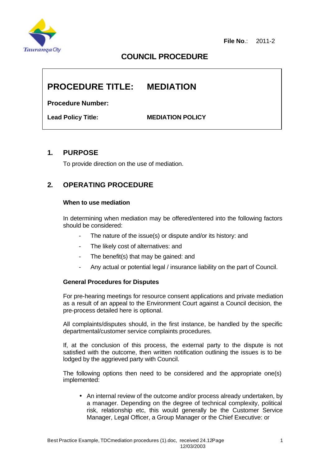

# **COUNCIL PROCEDURE**

# **PROCEDURE TITLE: MEDIATION**

**Procedure Number:**

**Lead Policy Title: MEDIATION POLICY**

### **1. PURPOSE**

To provide direction on the use of mediation.

# **2. OPERATING PROCEDURE**

#### **When to use mediation**

In determining when mediation may be offered/entered into the following factors should be considered:

- The nature of the issue(s) or dispute and/or its history: and
- The likely cost of alternatives: and
- The benefit(s) that may be gained: and
- Any actual or potential legal / insurance liability on the part of Council.

#### **General Procedures for Disputes**

For pre-hearing meetings for resource consent applications and private mediation as a result of an appeal to the Environment Court against a Council decision, the pre-process detailed here is optional.

All complaints/disputes should, in the first instance, be handled by the specific departmental/customer service complaints procedures.

If, at the conclusion of this process, the external party to the dispute is not satisfied with the outcome, then written notification outlining the issues is to be lodged by the aggrieved party with Council.

The following options then need to be considered and the appropriate one(s) implemented:

• An internal review of the outcome and/or process already undertaken, by a manager. Depending on the degree of technical complexity, political risk, relationship etc, this would generally be the Customer Service Manager, Legal Officer, a Group Manager or the Chief Executive: or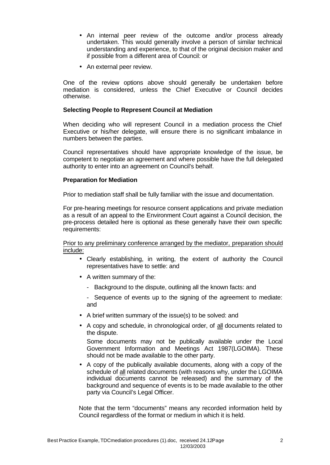- An internal peer review of the outcome and/or process already undertaken. This would generally involve a person of similar technical understanding and experience, to that of the original decision maker and if possible from a different area of Council: or
- An external peer review.

One of the review options above should generally be undertaken before mediation is considered, unless the Chief Executive or Council decides otherwise.

#### **Selecting People to Represent Council at Mediation**

When deciding who will represent Council in a mediation process the Chief Executive or his/her delegate, will ensure there is no significant imbalance in numbers between the parties.

Council representatives should have appropriate knowledge of the issue, be competent to negotiate an agreement and where possible have the full delegated authority to enter into an agreement on Council's behalf.

#### **Preparation for Mediation**

Prior to mediation staff shall be fully familiar with the issue and documentation.

For pre-hearing meetings for resource consent applications and private mediation as a result of an appeal to the Environment Court against a Council decision, the pre-process detailed here is optional as these generally have their own specific requirements:

Prior to any preliminary conference arranged by the mediator, preparation should include:

- Clearly establishing, in writing, the extent of authority the Council representatives have to settle: and
- A written summary of the:
	- Background to the dispute, outlining all the known facts: and
	- Sequence of events up to the signing of the agreement to mediate: and
- A brief written summary of the issue(s) to be solved: and
- A copy and schedule, in chronological order, of all documents related to the dispute.

Some documents may not be publically available under the Local Government Information and Meetings Act 1987(LGOIMA). These should not be made available to the other party.

• A copy of the publically available documents, along with a copy of the schedule of all related documents (with reasons why, under the LGOIMA individual documents cannot be released) and the summary of the background and sequence of events is to be made available to the other party via Council's Legal Officer.

Note that the term "documents" means any recorded information held by Council regardless of the format or medium in which it is held.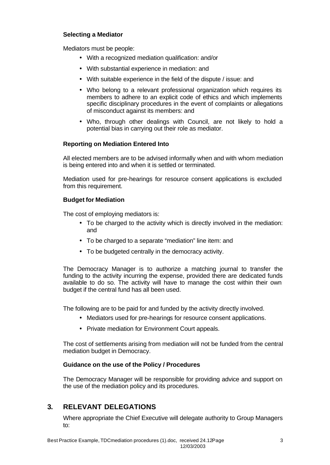#### **Selecting a Mediator**

Mediators must be people:

- With a recognized mediation qualification: and/or
- With substantial experience in mediation: and
- With suitable experience in the field of the dispute / issue: and
- Who belong to a relevant professional organization which requires its members to adhere to an explicit code of ethics and which implements specific disciplinary procedures in the event of complaints or allegations of misconduct against its members: and
- Who, through other dealings with Council, are not likely to hold a potential bias in carrying out their role as mediator.

#### **Reporting on Mediation Entered Into**

All elected members are to be advised informally when and with whom mediation is being entered into and when it is settled or terminated.

Mediation used for pre-hearings for resource consent applications is excluded from this requirement.

#### **Budget for Mediation**

The cost of employing mediators is:

- To be charged to the activity which is directly involved in the mediation: and
- To be charged to a separate "mediation" line item: and
- To be budgeted centrally in the democracy activity.

The Democracy Manager is to authorize a matching journal to transfer the funding to the activity incurring the expense, provided there are dedicated funds available to do so. The activity will have to manage the cost within their own budget if the central fund has all been used.

The following are to be paid for and funded by the activity directly involved.

- Mediators used for pre-hearings for resource consent applications.
- Private mediation for Environment Court appeals.

The cost of settlements arising from mediation will not be funded from the central mediation budget in Democracy.

#### **Guidance on the use of the Policy / Procedures**

The Democracy Manager will be responsible for providing advice and support on the use of the mediation policy and its procedures.

## **3. RELEVANT DELEGATIONS**

Where appropriate the Chief Executive will delegate authority to Group Managers to: